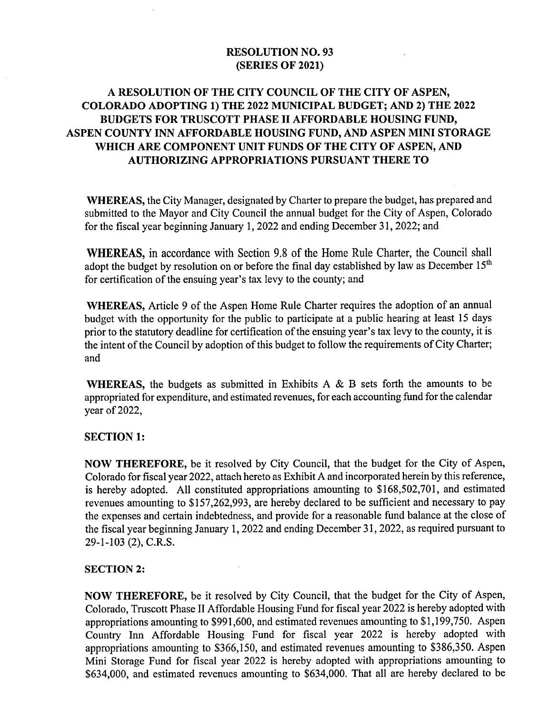#### RESOLUTION NO. 93 SERIES OF 2021)

### A RESOLUTION OF THE CITY COUNCIL OF THE CITY OF ASPEN, COLORADO ADOPTING 1) THE 2022 MUNICIPAL BUDGET; AND 2) THE 2022 BUDGETS FOR TRUSCOTT PHASE II AFFORDABLE HOUSING FUND, ASPEN COUNTY INN AFFORDABLE HOUSING FUND, AND ASPEN MINI STORAGE WHICH ARE COMPONENT UNIT FUNDS OF THE CITY OF ASPEN, AND AUTHORIZING APPROPRIATIONS PURSUANT THERE TO

WHEREAS, the City Manager, designated by Charter to prepare the budget, has prepared and submitted to the Mayor and City Council the annual budget for the City of Aspen, Colorado for the fiscal year beginning January 1, 2022 and ending December 31, 2022; and

WHEREAS, in accordance with Section 9.8 of the Home Rule Charter, the Council shall adopt the budget by resolution on or before the final day established by law as December  $15<sup>th</sup>$ for certification of the ensuing year's tax levy to the county; and

WHEREAS, Article 9 of the Aspen Home Rule Charter requires the adoption of an annual budget with the opportunity for the public to participate at a public hearing at least 15 days prior to the statutory deadline for certification of the ensuing year's tax levy to the county, it is the intent of the Council by adoption of this budget to follow the requirements of City Charter; and

WHEREAS, the budgets as submitted in Exhibits A & B sets forth the amounts to be appropriated for expenditure, and estimated revenues, for each accounting fund for the calendar year of 2022,

#### SECTION 1:

NOW THEREFORE, be it resolved by City Council, that the budget for the City of Aspen, Colorado for fiscal year 2022, attach hereto as Exhibit A and incorporated herein by this reference, is hereby adopted. All constituted appropriations amounting to \$168,502,701, and estimated revenues amounting to \$157,262,993, are hereby declared to be sufficient and necessary to pay the expenses and certain indebtedness, and provide for <sup>a</sup> reasonable fund balance at the close of the fiscal year beginning January 1, 2022 and ending December 31, 2022, as required pursuant to 29-1-103 (2), C.R.S.

#### SECTION 2:

NOW THEREFORE, be it resolved by City Council, that the budget for the City of Aspen, Colorado, Truscott Phase II Affordable Housing Fund for fiscal year 2022 is hereby adopted with appropriations amounting to \$991,600, and estimated revenues amounting to \$1,199,750. Aspen Country Inn Affordable Housing Fund for fiscal year 2022 is hereby adopted with appropriations amounting to \$366,150, and estimated revenues amounting to \$386,350. Aspen Mini Storage Fund for fiscal year 2022 is hereby adopted with appropriations amounting to \$634,000, and estimated revenues amounting to \$634,000. That all are hereby declared to be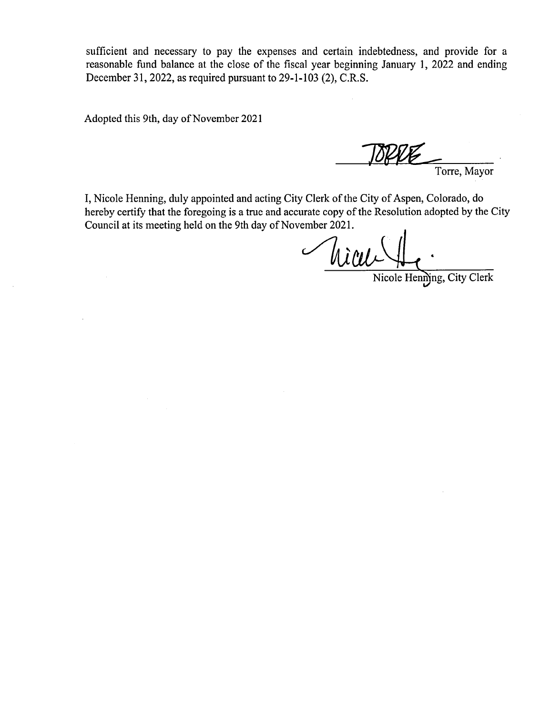sufficient and necessary to pay the expenses and certain indebtedness, and provide for a reasonable fund balance at the close of the fiscal year beginning January 1, 2022 and ending December 31, 2022, as required pursuant to  $29-1-103$  (2), C.R.S.

Adopted this 9th, day of November 2021

TOPPE Torre, Mayor

I, Nicole Henning, duly appointed and acting City Clerk of the City of Aspen, Colorado, do hereby certify that the foregoing is <sup>a</sup> true and accurate copy of the Resolution adopted by the City Council at its meeting held on the 9th day of November 2021.

Micule Henning, City Clerk